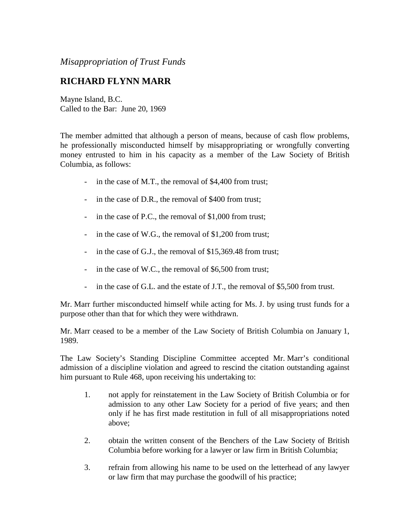*Misappropriation of Trust Funds*

## **RICHARD FLYNN MARR**

Mayne Island, B.C. Called to the Bar: June 20, 1969

The member admitted that although a person of means, because of cash flow problems, he professionally misconducted himself by misappropriating or wrongfully converting money entrusted to him in his capacity as a member of the Law Society of British Columbia, as follows:

- in the case of M.T., the removal of \$4,400 from trust;
- in the case of D.R., the removal of \$400 from trust;
- in the case of P.C., the removal of \$1,000 from trust;
- in the case of W.G., the removal of \$1,200 from trust;
- in the case of G.J., the removal of \$15,369.48 from trust;
- in the case of W.C., the removal of \$6,500 from trust;
- in the case of G.L. and the estate of J.T., the removal of \$5,500 from trust.

Mr. Marr further misconducted himself while acting for Ms. J. by using trust funds for a purpose other than that for which they were withdrawn.

Mr. Marr ceased to be a member of the Law Society of British Columbia on January 1, 1989.

The Law Society's Standing Discipline Committee accepted Mr. Marr's conditional admission of a discipline violation and agreed to rescind the citation outstanding against him pursuant to Rule 468, upon receiving his undertaking to:

- 1. not apply for reinstatement in the Law Society of British Columbia or for admission to any other Law Society for a period of five years; and then only if he has first made restitution in full of all misappropriations noted above;
- 2. obtain the written consent of the Benchers of the Law Society of British Columbia before working for a lawyer or law firm in British Columbia;
- 3. refrain from allowing his name to be used on the letterhead of any lawyer or law firm that may purchase the goodwill of his practice;